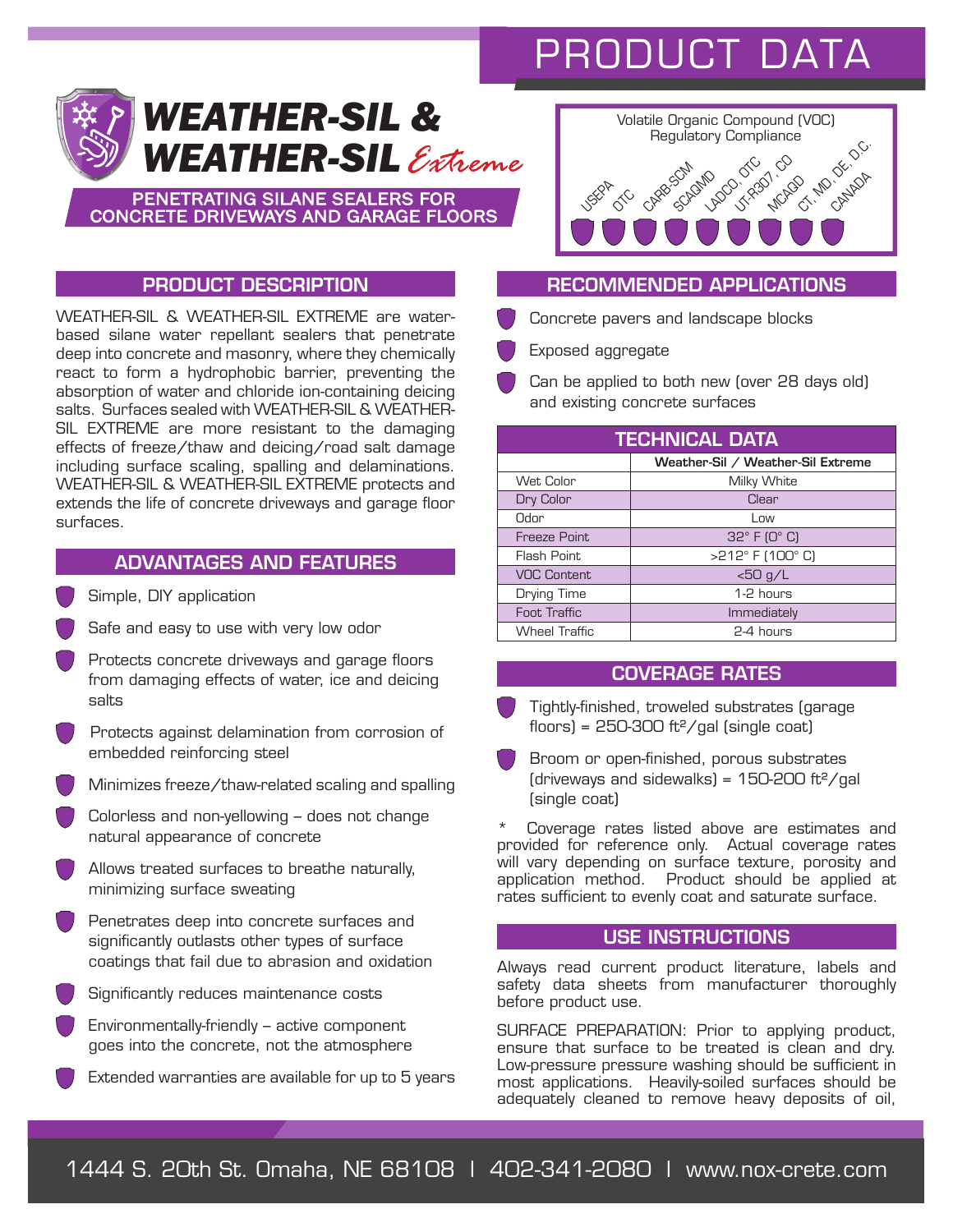# PRODUCT DATA



PENETRATING SILANE SEALERS FOR CONCRETE DRIVEWAYS AND GARAGE FLOORS



## PRODUCT DESCRIPTION

WEATHER-SIL & WEATHER-SIL EXTREME are waterbased silane water repellant sealers that penetrate deep into concrete and masonry, where they chemically react to form a hydrophobic barrier, preventing the absorption of water and chloride ion-containing deicing salts. Surfaces sealed with WEATHER-SIL & WEATHER-SIL EXTREME are more resistant to the damaging effects of freeze/thaw and deicing/road salt damage including surface scaling, spalling and delaminations. WEATHER-SIL & WEATHER-SIL EXTREME protects and extends the life of concrete driveways and garage floor surfaces.

## ADVANTAGES AND FEATURES

- Simple, DIY application
- Safe and easy to use with very low odor
- Protects concrete driveways and garage floors from damaging effects of water, ice and deicing salts
- Protects against delamination from corrosion of embedded reinforcing steel
- Minimizes freeze/thaw-related scaling and spalling
- Colorless and non-yellowing does not change natural appearance of concrete
- Allows treated surfaces to breathe naturally, minimizing surface sweating
- Penetrates deep into concrete surfaces and significantly outlasts other types of surface coatings that fail due to abrasion and oxidation
- Significantly reduces maintenance costs
- Environmentally-friendly active component goes into the concrete, not the atmosphere
- Extended warranties are available for up to 5 years

## RECOMMENDED APPLICATIONS

Concrete pavers and landscape blocks

Exposed aggregate

 Can be applied to both new (over 28 days old) and existing concrete surfaces

| <b>TECHNICAL DATA</b> |                                   |
|-----------------------|-----------------------------------|
|                       | Weather-Sil / Weather-Sil Extreme |
| Wet Color             | Milky White                       |
| Dry Color             | Clear                             |
| Odor                  | Low                               |
| Freeze Point          | $32^\circ$ F (O $^\circ$ C)       |
| Flash Point           | >212° F (100° C)                  |
| <b>VOC Content</b>    | $<$ 50 g/L                        |
| Drying Time           | 1-2 hours                         |
| Foot Traffic          | Immediately                       |
| <b>Wheel Traffic</b>  | $2-4$ hours                       |

## COVERAGE RATES

- Tightly-finished, troweled substrates (garage floors) =  $250-300$  ft<sup>2</sup>/gal (single coat)
- Broom or open-finished, porous substrates (driveways and sidewalks) =  $150-200$  ft<sup>2</sup>/gal (single coat)
- Coverage rates listed above are estimates and provided for reference only. Actual coverage rates will vary depending on surface texture, porosity and application method. Product should be applied at rates sufficient to evenly coat and saturate surface.

#### USE INSTRUCTIONS

Always read current product literature, labels and safety data sheets from manufacturer thoroughly before product use.

SURFACE PREPARATION: Prior to applying product, ensure that surface to be treated is clean and dry. Low-pressure pressure washing should be sufficient in most applications. Heavily-soiled surfaces should be adequately cleaned to remove heavy deposits of oil,